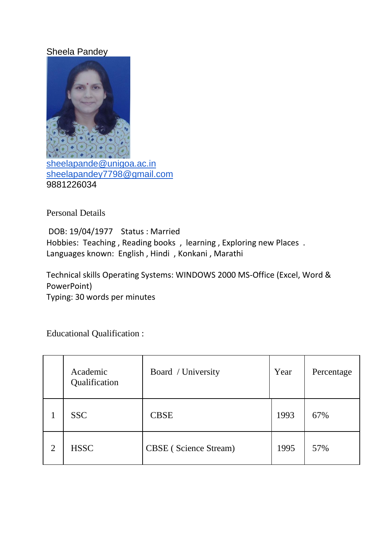## Sheela Pandey



Personal Details

DOB: 19/04/1977 Status : Married Hobbies: Teaching , Reading books , learning , Exploring new Places . Languages known: English , Hindi , Konkani , Marathi

Technical skills Operating Systems: WINDOWS 2000 MS-Office (Excel, Word & PowerPoint) Typing: 30 words per minutes

Educational Qualification :

|                | Academic<br>Qualification | Board / University           | Year | Percentage |
|----------------|---------------------------|------------------------------|------|------------|
|                | <b>SSC</b>                | <b>CBSE</b>                  | 1993 | 67%        |
| $\overline{2}$ | <b>HSSC</b>               | <b>CBSE</b> (Science Stream) | 1995 | 57%        |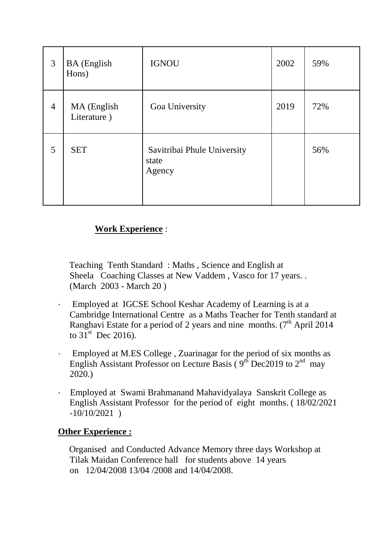| 3              | <b>BA</b> (English<br>Hons) | <b>IGNOU</b>                                   | 2002 | 59% |
|----------------|-----------------------------|------------------------------------------------|------|-----|
| $\overline{4}$ | MA (English<br>Literature)  | Goa University                                 | 2019 | 72% |
| 5              | <b>SET</b>                  | Savitribai Phule University<br>state<br>Agency |      | 56% |

## **Work Experience** :

 Teaching Tenth Standard : Maths , Science and English at Sheela Coaching Classes at New Vaddem , Vasco for 17 years. . (March 2003 - March 20 )

- · Employed at IGCSE School Keshar Academy of Learning is at a Cambridge International Centre as a Maths Teacher for Tenth standard at Ranghavi Estate for a period of 2 years and nine months.  $(7<sup>th</sup>$  April 2014 to  $31^{\text{st}}$  Dec 2016).
- · Employed at M.ES College , Zuarinagar for the period of six months as English Assistant Professor on Lecture Basis ( $9<sup>th</sup>$  Dec2019 to  $2<sup>nd</sup>$  may 2020.)
- · Employed at Swami Brahmanand Mahavidyalaya Sanskrit College as English Assistant Professor for the period of eight months. ( 18/02/2021 -10/10/2021 )

## **Other Experience :**

 Organised and Conducted Advance Memory three days Workshop at Tilak Maidan Conference hall for students above 14 years on 12/04/2008 13/04 /2008 and 14/04/2008.